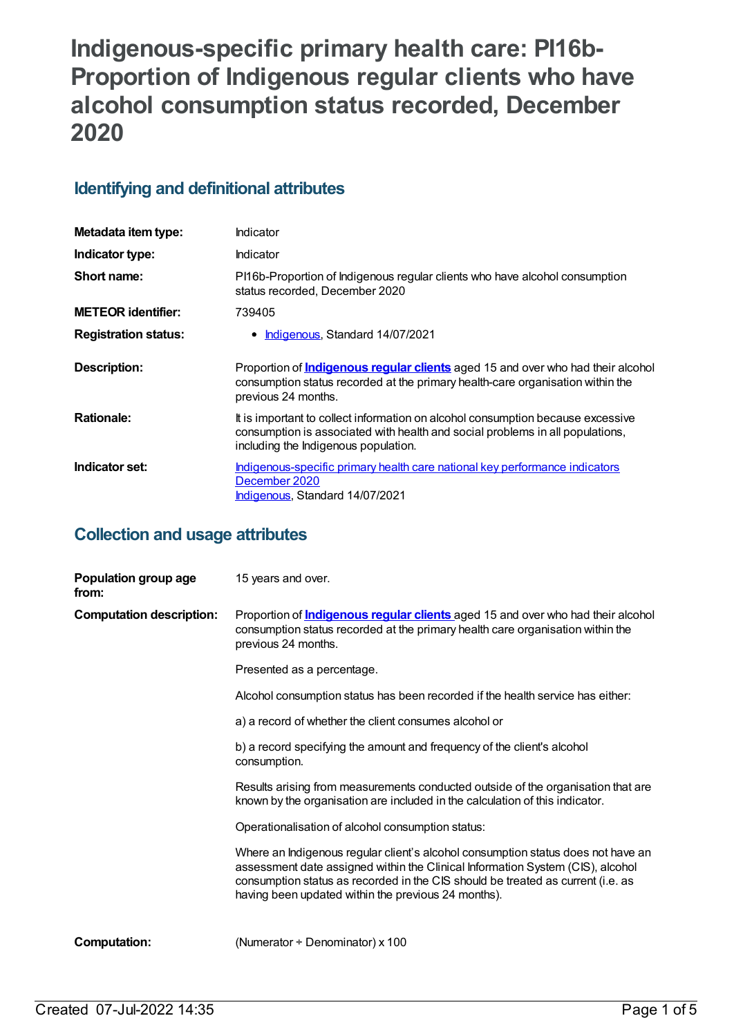# **Indigenous-specific primary health care: PI16b-Proportion of Indigenous regular clients who have alcohol consumption status recorded, December 2020**

# **Identifying and definitional attributes**

| Metadata item type:         | Indicator                                                                                                                                                                                                |
|-----------------------------|----------------------------------------------------------------------------------------------------------------------------------------------------------------------------------------------------------|
| Indicator type:             | <b>Indicator</b>                                                                                                                                                                                         |
| Short name:                 | PI16b-Proportion of Indigenous regular clients who have alcohol consumption<br>status recorded, December 2020                                                                                            |
| <b>METEOR identifier:</b>   | 739405                                                                                                                                                                                                   |
| <b>Registration status:</b> | Indigenous, Standard 14/07/2021                                                                                                                                                                          |
| <b>Description:</b>         | Proportion of <b>Indigenous regular clients</b> aged 15 and over who had their alcohol<br>consumption status recorded at the primary health-care organisation within the<br>previous 24 months.          |
| <b>Rationale:</b>           | It is important to collect information on alcohol consumption because excessive<br>consumption is associated with health and social problems in all populations,<br>including the Indigenous population. |
| Indicator set:              | Indigenous-specific primary health care national key performance indicators<br>December 2020<br>Indigenous, Standard 14/07/2021                                                                          |

# **Collection and usage attributes**

| Population group age<br>from:   | 15 years and over.                                                                                                                                                                                                                                                                                           |
|---------------------------------|--------------------------------------------------------------------------------------------------------------------------------------------------------------------------------------------------------------------------------------------------------------------------------------------------------------|
| <b>Computation description:</b> | Proportion of <b>Indigenous regular clients</b> aged 15 and over who had their alcohol<br>consumption status recorded at the primary health care organisation within the<br>previous 24 months.                                                                                                              |
|                                 | Presented as a percentage.                                                                                                                                                                                                                                                                                   |
|                                 | Alcohol consumption status has been recorded if the health service has either:                                                                                                                                                                                                                               |
|                                 | a) a record of whether the client consumes alcohol or                                                                                                                                                                                                                                                        |
|                                 | b) a record specifying the amount and frequency of the client's alcohol<br>consumption.                                                                                                                                                                                                                      |
|                                 | Results arising from measurements conducted outside of the organisation that are<br>known by the organisation are included in the calculation of this indicator.                                                                                                                                             |
|                                 | Operationalisation of alcohol consumption status:                                                                                                                                                                                                                                                            |
|                                 | Where an Indigenous regular client's alcohol consumption status does not have an<br>assessment date assigned within the Clinical Information System (CIS), alcohol<br>consumption status as recorded in the CIS should be treated as current (i.e. as<br>having been updated within the previous 24 months). |
| <b>Computation:</b>             | (Numerator ÷ Denominator) x 100                                                                                                                                                                                                                                                                              |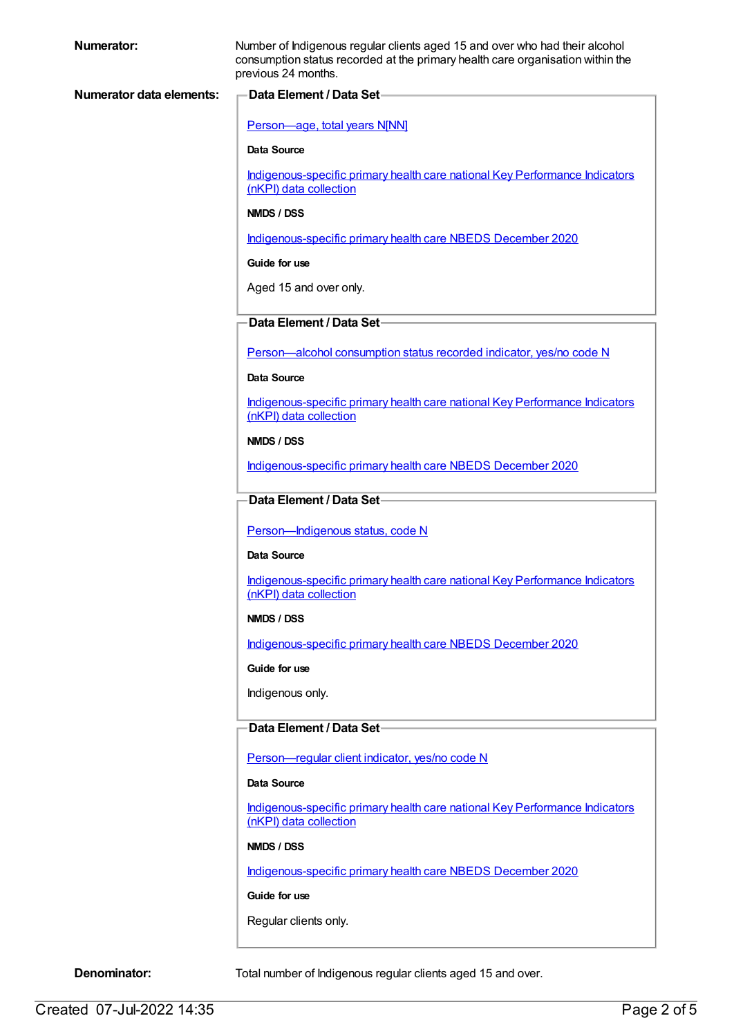| Numerator:                      | Number of Indigenous regular clients aged 15 and over who had their alcohol<br>consumption status recorded at the primary health care organisation within the<br>previous 24 months. |  |
|---------------------------------|--------------------------------------------------------------------------------------------------------------------------------------------------------------------------------------|--|
| <b>Numerator data elements:</b> | Data Element / Data Set-                                                                                                                                                             |  |
|                                 | Person-age, total years N[NN]                                                                                                                                                        |  |
|                                 | <b>Data Source</b>                                                                                                                                                                   |  |
|                                 | Indigenous-specific primary health care national Key Performance Indicators                                                                                                          |  |
|                                 | (nKPI) data collection                                                                                                                                                               |  |
|                                 | NMDS / DSS                                                                                                                                                                           |  |
|                                 | Indigenous-specific primary health care NBEDS December 2020                                                                                                                          |  |
|                                 | Guide for use                                                                                                                                                                        |  |
|                                 | Aged 15 and over only.                                                                                                                                                               |  |
|                                 | Data Element / Data Set-                                                                                                                                                             |  |
|                                 | Person-alcohol consumption status recorded indicator, yes/no code N                                                                                                                  |  |
|                                 | <b>Data Source</b>                                                                                                                                                                   |  |
|                                 | Indigenous-specific primary health care national Key Performance Indicators<br>(nKPI) data collection                                                                                |  |
|                                 | NMDS / DSS                                                                                                                                                                           |  |
|                                 | Indigenous-specific primary health care NBEDS December 2020                                                                                                                          |  |
|                                 | Data Element / Data Set-                                                                                                                                                             |  |
|                                 | Person-Indigenous status, code N                                                                                                                                                     |  |
|                                 | Data Source                                                                                                                                                                          |  |
|                                 | Indigenous-specific primary health care national Key Performance Indicators<br>(nKPI) data collection                                                                                |  |
|                                 | NMDS / DSS                                                                                                                                                                           |  |
|                                 | Indigenous-specific primary health care NBEDS December 2020                                                                                                                          |  |
|                                 | Guide for use                                                                                                                                                                        |  |
|                                 | Indigenous only.                                                                                                                                                                     |  |
|                                 | Data Element / Data Set-                                                                                                                                                             |  |
|                                 | Person-regular client indicator, yes/no code N                                                                                                                                       |  |
|                                 | Data Source                                                                                                                                                                          |  |
|                                 | Indigenous-specific primary health care national Key Performance Indicators<br>(nKPI) data collection                                                                                |  |
|                                 | NMDS / DSS                                                                                                                                                                           |  |
|                                 | Indigenous-specific primary health care NBEDS December 2020                                                                                                                          |  |
|                                 | Guide for use                                                                                                                                                                        |  |
|                                 | Regular clients only.                                                                                                                                                                |  |

**Denominator:** Total number of Indigenous regular clients aged 15 and over.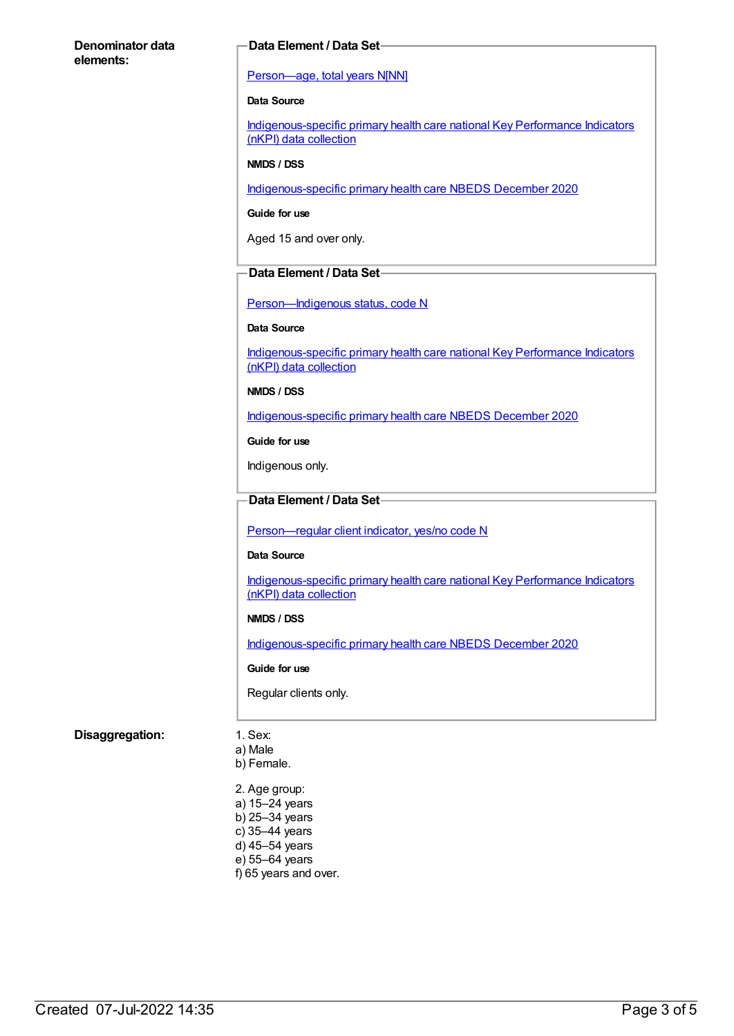### **Denominator data elements:**

### **Data Element / Data Set**

### [Person—age,](https://meteor.aihw.gov.au/content/303794) total years N[NN]

### **Data Source**

[Indigenous-specific](https://meteor.aihw.gov.au/content/737914) primary health care national Key Performance Indicators (nKPI) data collection

### **NMDS / DSS**

[Indigenous-specific](https://meteor.aihw.gov.au/content/738532) primary health care NBEDS December 2020

#### **Guide for use**

Aged 15 and over only.

### **Data Element / Data Set**

Person-Indigenous status, code N

#### **Data Source**

[Indigenous-specific](https://meteor.aihw.gov.au/content/737914) primary health care national Key Performance Indicators (nKPI) data collection

### **NMDS / DSS**

[Indigenous-specific](https://meteor.aihw.gov.au/content/738532) primary health care NBEDS December 2020

**Guide for use**

Indigenous only.

## **Data Element / Data Set**

[Person—regular](https://meteor.aihw.gov.au/content/686291) client indicator, yes/no code N

#### **Data Source**

[Indigenous-specific](https://meteor.aihw.gov.au/content/737914) primary health care national Key Performance Indicators (nKPI) data collection

### **NMDS / DSS**

[Indigenous-specific](https://meteor.aihw.gov.au/content/738532) primary health care NBEDS December 2020

#### **Guide for use**

Regular clients only.

### **Disaggregation:** 1. Sex:

- a) Male b) Female.
- 2. Age group: a) 15–24 years b) 25–34 years c) 35–44 years d) 45–54 years e) 55–64 years f) 65 years and over.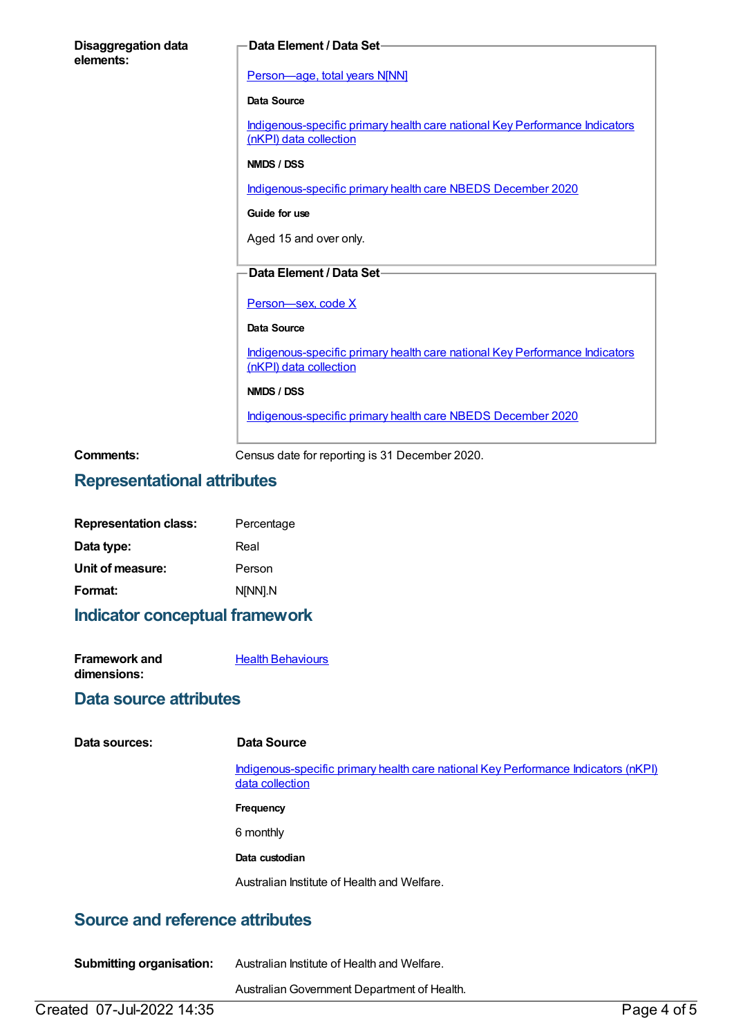| <b>Disaggregation data</b><br>elements: | Data Element / Data Set-                                                                              |
|-----------------------------------------|-------------------------------------------------------------------------------------------------------|
|                                         | Person-age, total years N[NN]                                                                         |
|                                         | Data Source                                                                                           |
|                                         | Indigenous-specific primary health care national Key Performance Indicators<br>(nKPI) data collection |
|                                         | NMDS / DSS                                                                                            |
|                                         | Indigenous-specific primary health care NBEDS December 2020                                           |
|                                         | Guide for use                                                                                         |
|                                         | Aged 15 and over only.                                                                                |
|                                         | Data Element / Data Set-                                                                              |
|                                         |                                                                                                       |
|                                         | Person-sex, code X                                                                                    |
|                                         | Data Source                                                                                           |
|                                         | Indigenous-specific primary health care national Key Performance Indicators<br>(nKPI) data collection |
|                                         | NMDS / DSS                                                                                            |
|                                         | Indigenous-specific primary health care NBEDS December 2020                                           |
| Comments:                               | Census date for reporting is 31 December 2020.                                                        |

# **Representational attributes**

| <b>Representation class:</b> | Percentage |
|------------------------------|------------|
| Data type:                   | Real       |
| Unit of measure:             | Person     |
| Format:                      | N[NN].N    |

# **Indicator conceptual framework**

| Framework and | <b>Health Behaviours</b> |
|---------------|--------------------------|
| dimensions:   |                          |

# **Data source attributes**

|  | Data sources: |
|--|---------------|
|--|---------------|

### **Data Source**

[Indigenous-specific](https://meteor.aihw.gov.au/content/737914) primary health care national Key Performance Indicators (nKPI) data collection

**Frequency**

6 monthly

**Data custodian**

Australian Institute of Health and Welfare.

# **Source and reference attributes**

| <b>Submitting organisation:</b> | Australian Institute of Health and Welfare. |
|---------------------------------|---------------------------------------------|
|                                 | Australian Government Department of Health. |